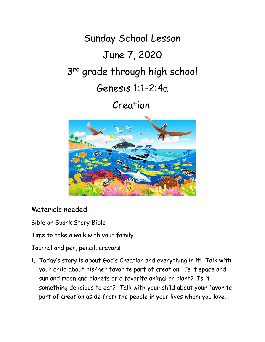## Sunday School Lesson June 7, 2020 3<sup>rd</sup> grade through high school Genesis 1:1-2:4a

## Creation!



Materials needed:

Bible or Spark Story Bible

Time to take a walk with your family

Journal and pen, pencil, crayons

1. Today's story is about God's Creation and everything in it! Talk with your child about his/her favorite part of creation. Is it space and sun and moon and planets or a favorite animal or plant? Is it something delicious to eat? Talk with your child about your favorite part of creation aside from the people in your lives whom you love.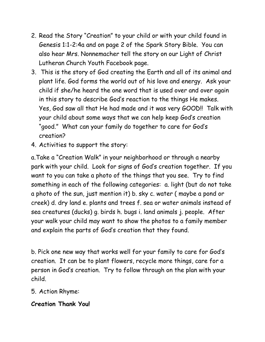- 2. Read the Story "Creation" to your child or with your child found in Genesis 1:1-2:4a and on page 2 of the Spark Story Bible. You can also hear Mrs. Nonnemacher tell the story on our Light of Christ Lutheran Church Youth Facebook page.
- 3. This is the story of God creating the Earth and all of its animal and plant life. God forms the world out of his love and energy. Ask your child if she/he heard the one word that is used over and over again in this story to describe God's reaction to the things He makes. Yes, God saw all that He had made and it was very GOOD!! Talk with your child about some ways that we can help keep God's creation "good." What can your family do together to care for God's creation?
- 4. Activities to support the story:

a.Take a "Creation Walk" in your neighborhood or through a nearby park with your child. Look for signs of God's creation together. If you want to you can take a photo of the things that you see. Try to find something in each of the following categories: a. light (but do not take a photo of the sun, just mention it) b. sky c. water ( maybe a pond or creek) d. dry land e. plants and trees f. sea or water animals instead of sea creatures (ducks) g. birds h. bugs i. land animals j. people. After your walk your child may want to show the photos to a family member and explain the parts of God's creation that they found.

b. Pick one new way that works well for your family to care for God's creation. It can be to plant flowers, recycle more things, care for a person in God's creation. Try to follow through on the plan with your child.

## 5. Action Rhyme:

## **Creation Thank You!**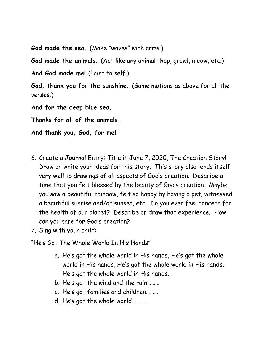**God made the sea.** (Make "waves" with arms.)

**God made the animals.** (Act like any animal- hop, growl, meow, etc.)

And God made me! (Point to self.)

**God, thank you for the sunshine.** (Same motions as above for all the verses.)

**And for the deep blue sea.**

**Thanks for all of the animals.**

**And thank you, God, for me!**

- 6. Create a Journal Entry: Title it June 7, 2020, The Creation Story! Draw or write your ideas for this story. This story also lends itself very well to drawings of all aspects of God's creation. Describe a time that you felt blessed by the beauty of God's creation. Maybe you saw a beautiful rainbow, felt so happy by having a pet, witnessed a beautiful sunrise and/or sunset, etc. Do you ever feel concern for the health of our planet? Describe or draw that experience. How can you care for God's creation?
- 7. Sing with your child:

"He's Got The Whole World In His Hands"

- a. He's got the whole world in His hands, He's got the whole world in His hands, He's got the whole world in His hands, He's got the whole world in His hands.
- b. He's got the wind and the rain………
- c. He's got families and children………
- d. He's got the whole world…………